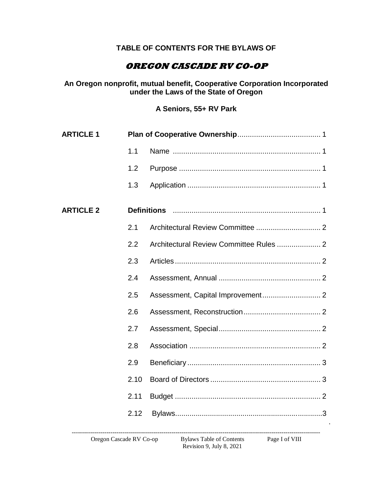## **TABLE OF CONTENTS FOR THE BYLAWS OF**

## **OREGON CASCADE RV CO-OP**

**An Oregon nonprofit, mutual benefit, Cooperative Corporation Incorporated under the Laws of the State of Oregon**

**A Seniors, 55+ RV Park**

| 1.1                |  |
|--------------------|--|
| 1.2                |  |
| 1.3                |  |
| <b>Definitions</b> |  |
| 2.1                |  |
| 2.2                |  |
| 2.3                |  |
| 2.4                |  |
| 2.5                |  |
| 2.6                |  |
| 2.7                |  |
| 2.8                |  |
| 2.9                |  |
| 2.10               |  |
| 2.11               |  |
| 2.12               |  |
|                    |  |

Revision 9, July 8, 2021

.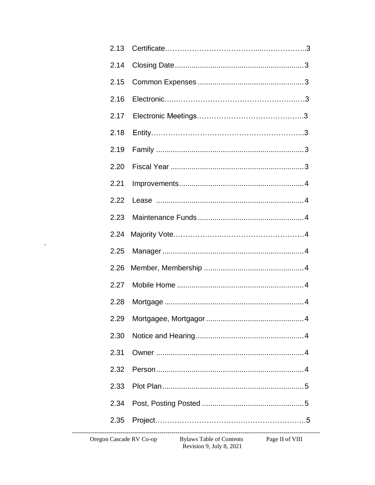| 2.14 |                                                                  |
|------|------------------------------------------------------------------|
| 2.15 |                                                                  |
| 2.16 |                                                                  |
| 2.17 |                                                                  |
| 2.18 |                                                                  |
| 2.19 |                                                                  |
| 2.20 |                                                                  |
| 2.21 |                                                                  |
| 2.22 |                                                                  |
| 2.23 |                                                                  |
| 2.24 |                                                                  |
| 2.25 |                                                                  |
| 2.26 |                                                                  |
| 2.27 |                                                                  |
| 2.28 |                                                                  |
|      |                                                                  |
| 2.30 |                                                                  |
| 2.31 |                                                                  |
| 2.32 |                                                                  |
| 2.33 |                                                                  |
| 2.34 |                                                                  |
| 2.35 |                                                                  |
|      | Oregon Cascade RV Co-op Bylaws Table of Contents Page II of VIII |

 $\mathbf{L}$ 

Revision 9, July 8, 2021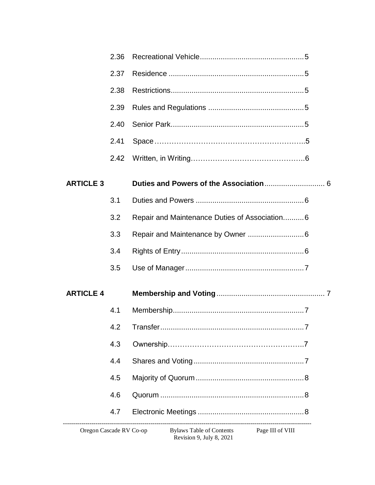|                  | 2.36 |                                                                                       |  |
|------------------|------|---------------------------------------------------------------------------------------|--|
|                  | 2.37 |                                                                                       |  |
|                  | 2.38 |                                                                                       |  |
|                  | 2.39 |                                                                                       |  |
|                  | 2.40 |                                                                                       |  |
|                  | 2.41 |                                                                                       |  |
|                  | 2.42 |                                                                                       |  |
| <b>ARTICLE 3</b> |      |                                                                                       |  |
|                  | 3.1  |                                                                                       |  |
|                  | 3.2  | Repair and Maintenance Duties of Association6                                         |  |
|                  | 3.3  |                                                                                       |  |
|                  | 3.4  |                                                                                       |  |
|                  | 3.5  |                                                                                       |  |
| <b>ARTICLE 4</b> |      |                                                                                       |  |
|                  | 4.1  |                                                                                       |  |
|                  |      |                                                                                       |  |
|                  | 4.3  |                                                                                       |  |
|                  | 4.4  |                                                                                       |  |
|                  | 4.5  |                                                                                       |  |
|                  | 4.6  |                                                                                       |  |
|                  | 4.7  |                                                                                       |  |
|                  |      | reaction Concords DV Corresponding to Declare Table of Contents Departments Constants |  |

**Bylaws Table of Contents** Revision 9, July 8, 2021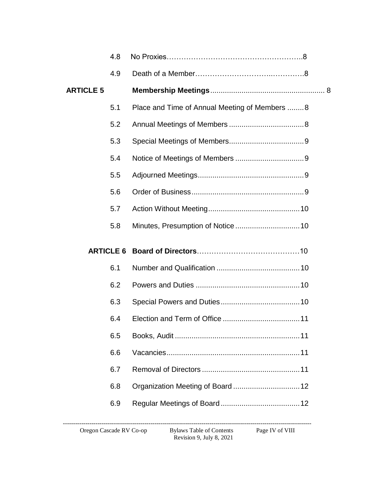|                  | 4.8              |                                               |  |
|------------------|------------------|-----------------------------------------------|--|
|                  | 4.9              |                                               |  |
| <b>ARTICLE 5</b> |                  |                                               |  |
|                  | 5.1              | Place and Time of Annual Meeting of Members 8 |  |
|                  | 5.2              |                                               |  |
|                  | 5.3              |                                               |  |
|                  | 5.4              |                                               |  |
|                  | 5.5              |                                               |  |
|                  | 5.6              |                                               |  |
|                  | 5.7              |                                               |  |
|                  | 5.8              |                                               |  |
|                  | <b>ARTICLE 6</b> |                                               |  |
|                  |                  |                                               |  |
|                  | 6.1              |                                               |  |
|                  | 6.2              |                                               |  |
|                  | 6.3              |                                               |  |
|                  | 6.4              |                                               |  |
|                  | 6.5              |                                               |  |
|                  | 6.6              |                                               |  |
|                  | 6.7              |                                               |  |
|                  | 6.8              |                                               |  |
|                  | 6.9              |                                               |  |

Revision 9, July 8, 2021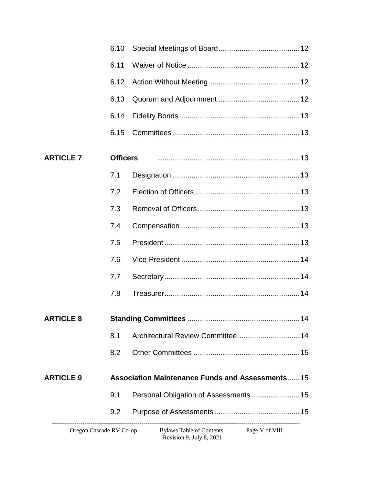|                         | 6.10            |                                                                     |
|-------------------------|-----------------|---------------------------------------------------------------------|
|                         | 6.11            |                                                                     |
|                         | 6.12            |                                                                     |
|                         | 6.13            |                                                                     |
|                         | 6.14            |                                                                     |
|                         | 6.15            |                                                                     |
| <b>ARTICLE 7</b>        | <b>Officers</b> |                                                                     |
|                         | 7.1             |                                                                     |
|                         | 7.2             |                                                                     |
|                         | 7.3             |                                                                     |
|                         | 7.4             |                                                                     |
|                         | 7.5             |                                                                     |
|                         | 7.6             |                                                                     |
|                         | 7.7             |                                                                     |
|                         | 7.8             |                                                                     |
| <b>ARTICLE 8</b>        |                 |                                                                     |
|                         | 8.1             |                                                                     |
|                         | 8.2             |                                                                     |
| <b>ARTICLE 9</b>        |                 | <b>Association Maintenance Funds and Assessments15</b>              |
|                         | 9.1             |                                                                     |
|                         | 9.2             |                                                                     |
| Oregon Cascade RV Co-op |                 | Bylaws Table of Contents Page V of VIII<br>Revision 9, July 8, 2021 |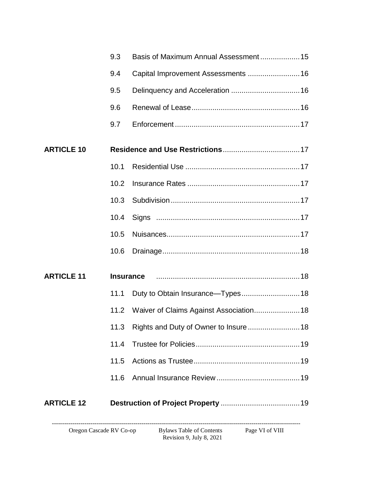| Oregon Cascade RV Co-op |                  | <b>Bylaws Table of Contents</b><br>Page VI of VIII<br>Revision 9, July 8, 2021 |
|-------------------------|------------------|--------------------------------------------------------------------------------|
| <b>ARTICLE 12</b>       |                  |                                                                                |
|                         | 11.6             |                                                                                |
|                         | 11.5             |                                                                                |
|                         | 11.4             |                                                                                |
|                         |                  | 11.3 Rights and Duty of Owner to Insure 18                                     |
|                         | 11.2             | Waiver of Claims Against Association 18                                        |
|                         | 11.1             |                                                                                |
| <b>ARTICLE 11</b>       | <b>Insurance</b> |                                                                                |
|                         | 10.6             |                                                                                |
|                         | 10.5             |                                                                                |
|                         | 10.4             |                                                                                |
|                         | 10.3             |                                                                                |
|                         | 10.2             |                                                                                |
|                         | 10.1             |                                                                                |
| <b>ARTICLE 10</b>       |                  |                                                                                |
|                         | 9.7              |                                                                                |
|                         | 9.6              |                                                                                |
|                         | 9.5              |                                                                                |
|                         | 9.4              | Capital Improvement Assessments  16                                            |
|                         | 9.3              |                                                                                |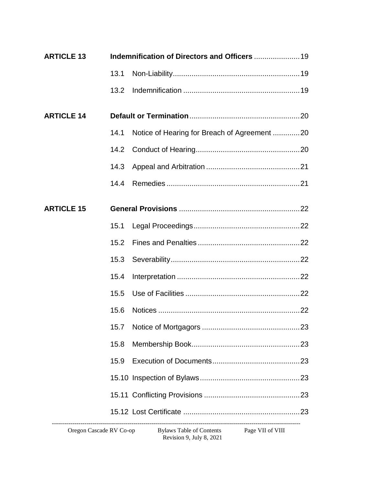| <b>ARTICLE 13</b> |      |                                              |  |
|-------------------|------|----------------------------------------------|--|
|                   | 13.1 |                                              |  |
|                   | 13.2 |                                              |  |
| <b>ARTICLE 14</b> |      |                                              |  |
|                   | 14.1 | Notice of Hearing for Breach of Agreement 20 |  |
|                   | 14.2 |                                              |  |
|                   | 14.3 |                                              |  |
|                   | 14.4 |                                              |  |
| <b>ARTICLE 15</b> |      |                                              |  |
|                   | 15.1 |                                              |  |
|                   | 15.2 |                                              |  |
|                   | 15.3 |                                              |  |
|                   | 15.4 |                                              |  |
|                   | 15.5 |                                              |  |
|                   | 15.6 |                                              |  |
|                   |      |                                              |  |
|                   | 15.8 |                                              |  |
|                   | 15.9 |                                              |  |
|                   |      |                                              |  |
|                   |      |                                              |  |
|                   |      |                                              |  |

Revision 9, July 8, 2021